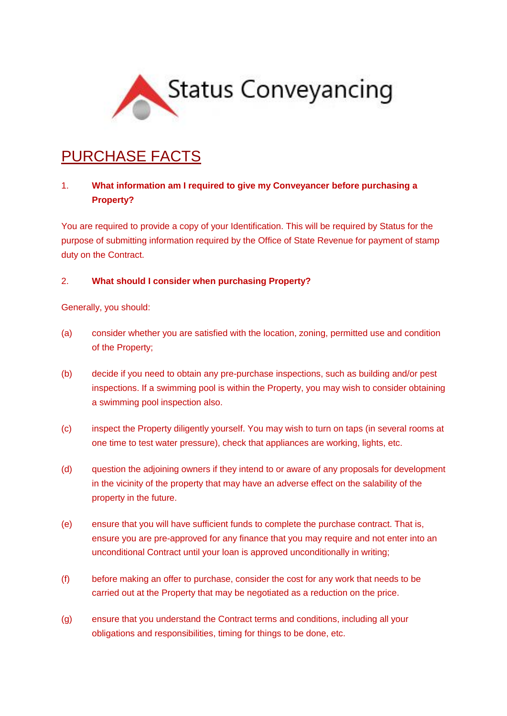

# PURCHASE FACTS

## 1. **What information am I required to give my Conveyancer before purchasing a Property?**

You are required to provide a copy of your Identification. This will be required by Status for the purpose of submitting information required by the Office of State Revenue for payment of stamp duty on the Contract.

#### 2. **What should I consider when purchasing Property?**

Generally, you should:

- (a) consider whether you are satisfied with the location, zoning, permitted use and condition of the Property;
- (b) decide if you need to obtain any pre-purchase inspections, such as building and/or pest inspections. If a swimming pool is within the Property, you may wish to consider obtaining a swimming pool inspection also.
- (c) inspect the Property diligently yourself. You may wish to turn on taps (in several rooms at one time to test water pressure), check that appliances are working, lights, etc.
- (d) question the adjoining owners if they intend to or aware of any proposals for development in the vicinity of the property that may have an adverse effect on the salability of the property in the future.
- (e) ensure that you will have sufficient funds to complete the purchase contract. That is, ensure you are pre-approved for any finance that you may require and not enter into an unconditional Contract until your loan is approved unconditionally in writing;
- (f) before making an offer to purchase, consider the cost for any work that needs to be carried out at the Property that may be negotiated as a reduction on the price.
- (g) ensure that you understand the Contract terms and conditions, including all your obligations and responsibilities, timing for things to be done, etc.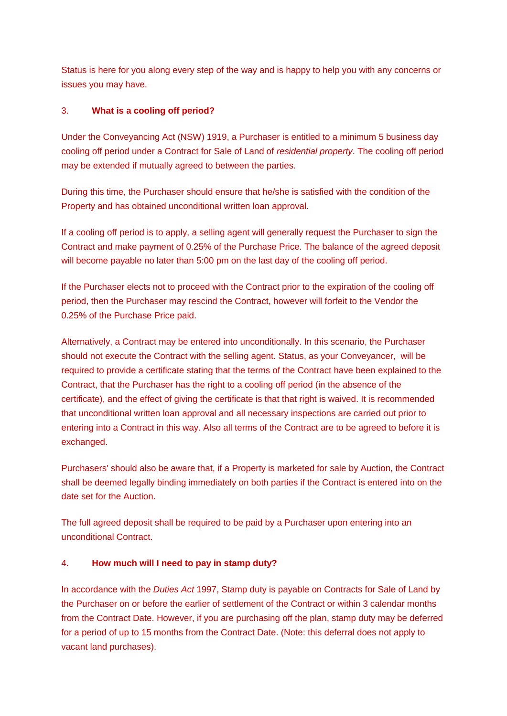Status is here for you along every step of the way and is happy to help you with any concerns or issues you may have.

### 3. **What is a cooling off period?**

Under the Conveyancing Act (NSW) 1919, a Purchaser is entitled to a minimum 5 business day cooling off period under a Contract for Sale of Land of *residential property*. The cooling off period may be extended if mutually agreed to between the parties.

During this time, the Purchaser should ensure that he/she is satisfied with the condition of the Property and has obtained unconditional written loan approval.

If a cooling off period is to apply, a selling agent will generally request the Purchaser to sign the Contract and make payment of 0.25% of the Purchase Price. The balance of the agreed deposit will become payable no later than 5:00 pm on the last day of the cooling off period.

If the Purchaser elects not to proceed with the Contract prior to the expiration of the cooling off period, then the Purchaser may rescind the Contract, however will forfeit to the Vendor the 0.25% of the Purchase Price paid.

Alternatively, a Contract may be entered into unconditionally. In this scenario, the Purchaser should not execute the Contract with the selling agent. Status, as your Conveyancer, will be required to provide a certificate stating that the terms of the Contract have been explained to the Contract, that the Purchaser has the right to a cooling off period (in the absence of the certificate), and the effect of giving the certificate is that that right is waived. It is recommended that unconditional written loan approval and all necessary inspections are carried out prior to entering into a Contract in this way. Also all terms of the Contract are to be agreed to before it is exchanged.

Purchasers' should also be aware that, if a Property is marketed for sale by Auction, the Contract shall be deemed legally binding immediately on both parties if the Contract is entered into on the date set for the Auction.

The full agreed deposit shall be required to be paid by a Purchaser upon entering into an unconditional Contract.

#### 4. **How much will I need to pay in stamp duty?**

In accordance with the *Duties Act* 1997, Stamp duty is payable on Contracts for Sale of Land by the Purchaser on or before the earlier of settlement of the Contract or within 3 calendar months from the Contract Date. However, if you are purchasing off the plan, stamp duty may be deferred for a period of up to 15 months from the Contract Date. (Note: this deferral does not apply to vacant land purchases).